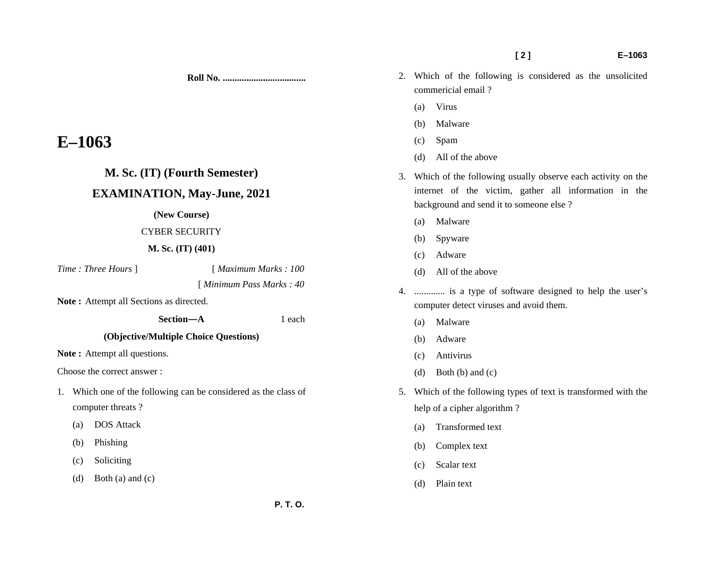**Roll No. ...................................** 

# **E–1063**

# **M. Sc. (IT) (Fourth Semester)**

# **EXAMINATION, May-June, 2021**

#### **(New Course)**

# CYBER SECURITY

# **M. Sc. (IT) (401)**

*Time : Three Hours* ] [ *Maximum Marks : 100* 

[ *Minimum Pass Marks : 40* 

**Note :** Attempt all Sections as directed.

 **Section—A** 1 each

# **(Objective/Multiple Choice Questions)**

Note : Attempt all questions.

Choose the correct answer :

- 1. Which one of the following can be considered as the class of computer threats ?
	- (a) DOS Attack
	- (b) Phishing
	- (c) Soliciting
	- (d) Both (a) and (c)
- 2. Which of the following is considered as the unsolicited commericial email ?
	- (a) Virus
	- (b) Malware
	- (c) Spam
	- (d) All of the above
- 3. Which of the following usually observe each activity on the internet of the victim, gather all information in the background and send it to someone else ?
	- (a) Malware
	- (b) Spyware
	- (c) Adware
	- (d) All of the above
- 4. ............. is a type of software designed to help the user's computer detect viruses and avoid them.
	- (a) Malware
	- (b) Adware
	- (c) Antivirus
	- (d) Both (b) and (c)
- 5. Which of the following types of text is transformed with the help of a cipher algorithm ?
	- (a) Transformed text
	- (b) Complex text
	- (c) Scalar text
	- (d) Plain text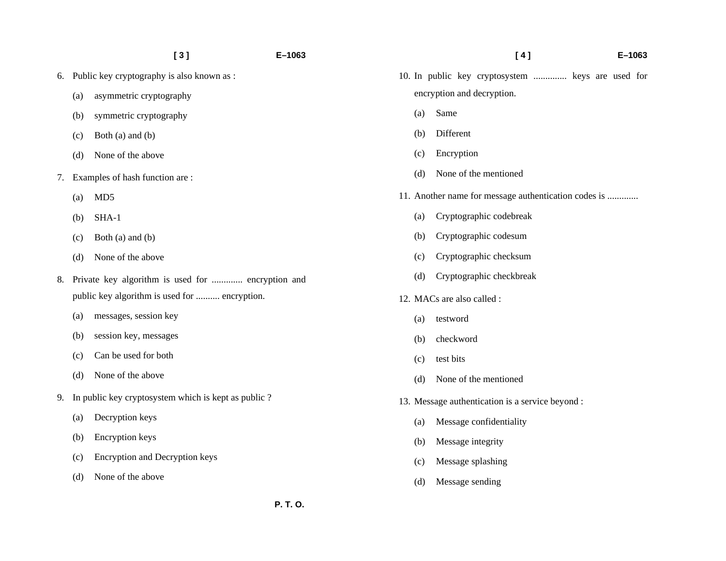|    |                                                     | [3]                                           | E-1063 |
|----|-----------------------------------------------------|-----------------------------------------------|--------|
| 6. | Public key cryptography is also known as :          |                                               |        |
|    | (a)                                                 | asymmetric cryptography                       |        |
|    | (b)                                                 | symmetric cryptography                        |        |
|    | (c)                                                 | Both (a) and (b)                              |        |
|    | (d)                                                 | None of the above                             |        |
| 7. | Examples of hash function are:                      |                                               |        |
|    | (a)                                                 | MD <sub>5</sub>                               |        |
|    | (b)                                                 | SHA-1                                         |        |
|    | (c)                                                 | Both (a) and (b)                              |        |
|    | (d)                                                 | None of the above                             |        |
| 8. | Private key algorithm is used for  encryption and   |                                               |        |
|    |                                                     | public key algorithm is used for  encryption. |        |
|    | (a)                                                 | messages, session key                         |        |
|    | (b)                                                 | session key, messages                         |        |
|    | (c)                                                 | Can be used for both                          |        |
|    | (d)                                                 | None of the above                             |        |
| 9. | In public key cryptosystem which is kept as public? |                                               |        |
|    | (a)                                                 | Decryption keys                               |        |
|    | (b)                                                 | <b>Encryption</b> keys                        |        |
|    | (c)                                                 | <b>Encryption and Decryption keys</b>         |        |
|    | (d)                                                 | None of the above                             |        |

|                                                      |                            | [4]<br>$E - 1063$                                 |  |  |  |
|------------------------------------------------------|----------------------------|---------------------------------------------------|--|--|--|
|                                                      |                            | 10. In public key cryptosystem  keys are used for |  |  |  |
|                                                      | encryption and decryption. |                                                   |  |  |  |
|                                                      | (a)                        | Same                                              |  |  |  |
|                                                      | (b)                        | Different                                         |  |  |  |
|                                                      | (c)                        | Encryption                                        |  |  |  |
|                                                      | (d)                        | None of the mentioned                             |  |  |  |
| 11. Another name for message authentication codes is |                            |                                                   |  |  |  |
|                                                      | (a)                        | Cryptographic codebreak                           |  |  |  |
|                                                      | (b)                        | Cryptographic codesum                             |  |  |  |
|                                                      | (c)                        | Cryptographic checksum                            |  |  |  |
|                                                      | (d)                        | Cryptographic checkbreak                          |  |  |  |
|                                                      |                            | 12. MACs are also called :                        |  |  |  |
|                                                      | (a)                        | testword                                          |  |  |  |
|                                                      | (b)                        | checkword                                         |  |  |  |
|                                                      | (c)                        | test bits                                         |  |  |  |
|                                                      | (d)                        | None of the mentioned                             |  |  |  |
| 13. Message authentication is a service beyond :     |                            |                                                   |  |  |  |
|                                                      | (a)                        | Message confidentiality                           |  |  |  |
|                                                      | (b)                        | Message integrity                                 |  |  |  |
|                                                      | (c)                        | Message splashing                                 |  |  |  |
|                                                      | (d)                        | Message sending                                   |  |  |  |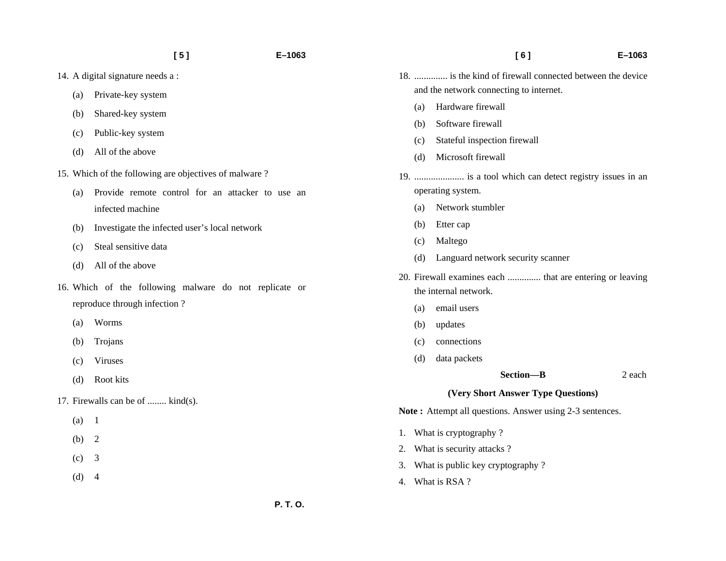- 14. A digital signature needs a :
	- (a) Private-key system
	- (b) Shared-key system
	- (c) Public-key system
	- (d) All of the above
- 15. Which of the following are objectives of malware ?
	- (a) Provide remote control for an attacker to use an infected machine
	- (b) Investigate the infected user's local network
	- (c) Steal sensitive data
	- (d) All of the above
- 16. Which of the following malware do not replicate or reproduce through infection ?
	- (a) Worms
	- (b) Trojans
	- (c) Viruses
	- (d) Root kits
- 17. Firewalls can be of ........ kind(s).
	- $(a)$  1
	- (b) 2
	- $(c)$  3
	- $(d) 4$
- 18. .............. is the kind of firewall connected between the device and the network connecting to internet.
	- (a) Hardware firewall
	- (b) Software firewall
	- (c) Stateful inspection firewall
	- (d) Microsoft firewall
- 19. ..................... is a tool which can detect registry issues in an operating system.
	- (a) Network stumbler
	- (b) Etter cap
	- (c) Maltego
	- (d) Languard network security scanner
- 20. Firewall examines each .............. that are entering or leaving the internal network.
	- (a) email users
	- (b) updates
	- (c) connections
	- (d) data packets

 **Section—B** 2 each

#### **(Very Short Answer Type Questions)**

Note: Attempt all questions. Answer using 2-3 sentences.

- 1. What is cryptography ?
- 2. What is security attacks ?
- 3. What is public key cryptography ?
- 4. What is RSA ?

 **[ 6 ] E–1063**